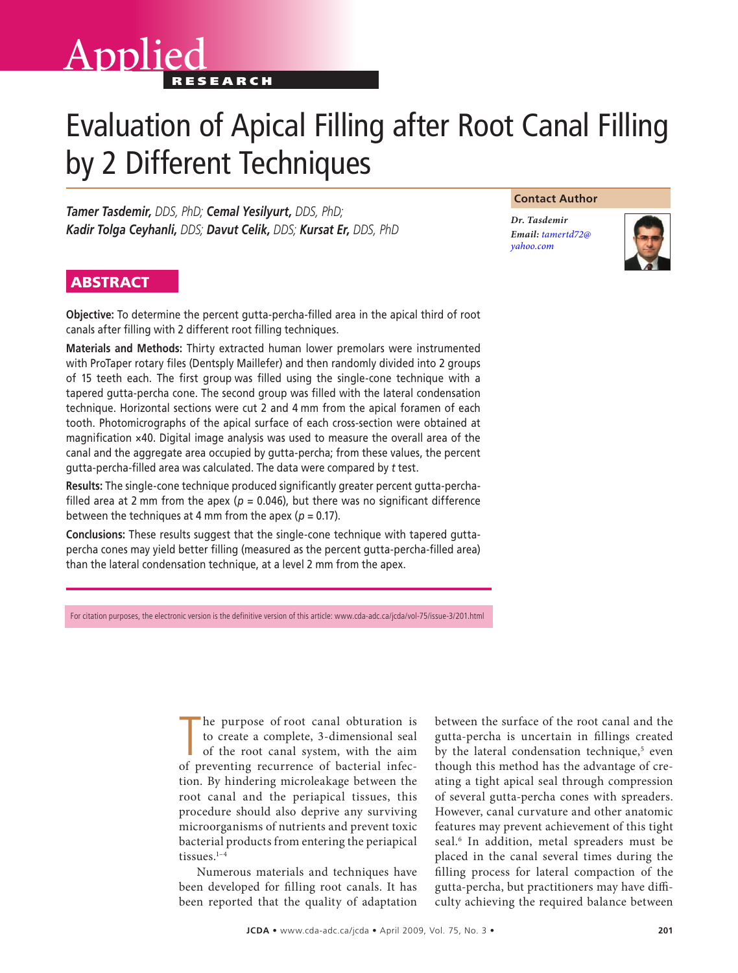# Applied

## Evaluation of Apical Filling after Root Canal Filling by 2 Different Techniques

*Tamer Tasdemir, DDS, PhD; Cemal Yesilyurt, DDS, PhD; Kadir Tolga Ceyhanli, DDS; Davut Celik, DDS; Kursat Er, DDS, PhD*

#### **Contact Author**

*Dr. Tasdemir Email: [tamertd72@](mailto:tamertd72@yahoo.com) yahoo.com*



### **ABSTRACT**

**Objective:** To determine the percent gutta-percha-filled area in the apical third of root canals after filling with 2 different root filling techniques.

**Materials and Methods:** Thirty extracted human lower premolars were instrumented with ProTaper rotary files (Dentsply Maillefer) and then randomly divided into 2 groups of 15 teeth each. The first group was filled using the single-cone technique with a tapered gutta-percha cone. The second group was filled with the lateral condensation technique. Horizontal sections were cut 2 and 4 mm from the apical foramen of each tooth. Photomicrographs of the apical surface of each cross-section were obtained at magnification ×40. Digital image analysis was used to measure the overall area of the canal and the aggregate area occupied by gutta-percha; from these values, the percent gutta-percha-filled area was calculated. The data were compared by *t* test.

**Results:** The single-cone technique produced significantly greater percent gutta-perchafilled area at 2 mm from the apex ( $p = 0.046$ ), but there was no significant difference between the techniques at 4 mm from the apex ( $p = 0.17$ ).

**Conclusions:** These results suggest that the single-cone technique with tapered guttapercha cones may yield better filling (measured as the percent gutta-percha-filled area) than the lateral condensation technique, at a level 2 mm from the apex.

For citation purposes, the electronic version is the definitive version of this article: www.cda-adc.ca/jcda/vol-75/issue-3/201.html

The purpose of root canal obturation is<br>to create a complete, 3-dimensional seal<br>of the root canal system, with the aim<br>of preventing recurrence of bacterial infeche purpose of root canal obturation is to create a complete, 3-dimensional seal of the root canal system, with the aim tion. By hindering microleakage between the root canal and the periapical tissues, this procedure should also deprive any surviving microorganisms of nutrients and prevent toxic bacterial products from entering the periapical tissues. $1-4$ 

Numerous materials and techniques have been developed for filling root canals. It has been reported that the quality of adaptation between the surface of the root canal and the gutta-percha is uncertain in fillings created by the lateral condensation technique,<sup>5</sup> even though this method has the advantage of creating a tight apical seal through compression of several gutta-percha cones with spreaders. However, canal curvature and other anatomic features may prevent achievement of this tight seal.<sup>6</sup> In addition, metal spreaders must be placed in the canal several times during the filling process for lateral compaction of the gutta-percha, but practitioners may have difficulty achieving the required balance between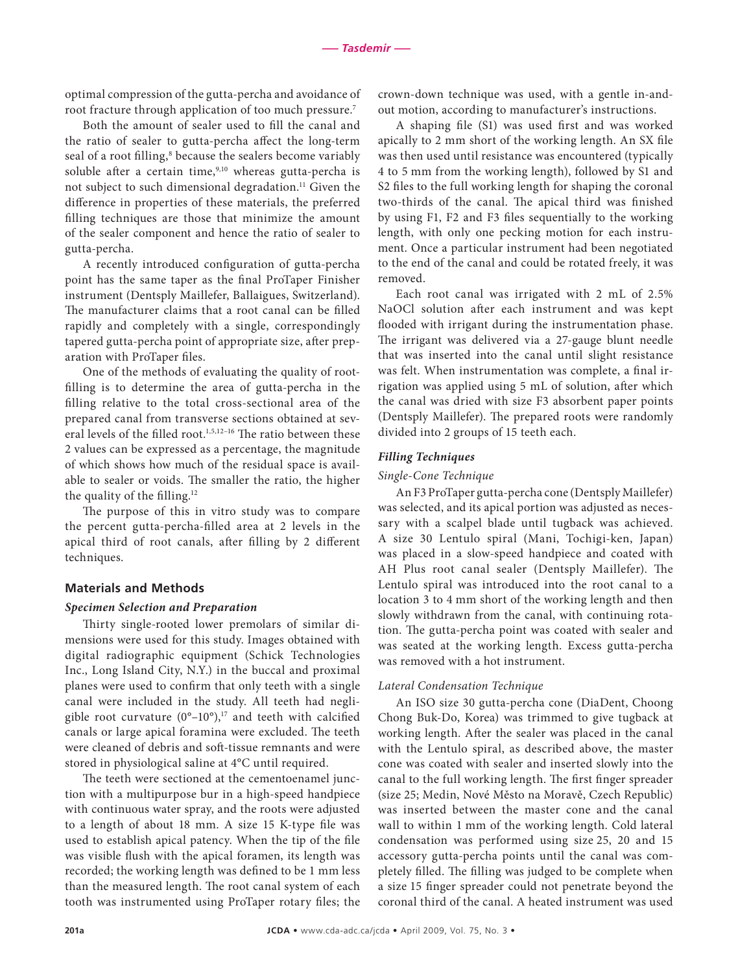optimal compression of the gutta-percha and avoidance of root fracture through application of too much pressure.7

Both the amount of sealer used to fill the canal and the ratio of sealer to gutta-percha affect the long-term seal of a root filling,<sup>8</sup> because the sealers become variably soluble after a certain time,  $9,10$  whereas gutta-percha is not subject to such dimensional degradation.<sup>11</sup> Given the difference in properties of these materials, the preferred filling techniques are those that minimize the amount of the sealer component and hence the ratio of sealer to gutta-percha.

A recently introduced configuration of gutta-percha point has the same taper as the final ProTaper Finisher instrument (Dentsply Maillefer, Ballaigues, Switzerland). The manufacturer claims that a root canal can be filled rapidly and completely with a single, correspondingly tapered gutta-percha point of appropriate size, after preparation with ProTaper files.

One of the methods of evaluating the quality of rootfilling is to determine the area of gutta-percha in the filling relative to the total cross-sectional area of the prepared canal from transverse sections obtained at several levels of the filled root.<sup>1,5,12-16</sup> The ratio between these 2 values can be expressed as a percentage, the magnitude of which shows how much of the residual space is available to sealer or voids. The smaller the ratio, the higher the quality of the filling.<sup>12</sup>

The purpose of this in vitro study was to compare the percent gutta-percha-filled area at 2 levels in the apical third of root canals, after filling by 2 different techniques.

#### **Materials and Methods**

#### *Specimen Selection and Preparation*

Thirty single-rooted lower premolars of similar dimensions were used for this study. Images obtained with digital radiographic equipment (Schick Technologies Inc., Long Island City, N.Y.) in the buccal and proximal planes were used to confirm that only teeth with a single canal were included in the study. All teeth had negligible root curvature  $(0^{\circ}-10^{\circ})$ ,<sup>17</sup> and teeth with calcified canals or large apical foramina were excluded. The teeth were cleaned of debris and soft-tissue remnants and were stored in physiological saline at 4°C until required.

The teeth were sectioned at the cementoenamel junction with a multipurpose bur in a high-speed handpiece with continuous water spray, and the roots were adjusted to a length of about 18 mm. A size 15 K-type file was used to establish apical patency. When the tip of the file was visible flush with the apical foramen, its length was recorded; the working length was defined to be 1 mm less than the measured length. The root canal system of each tooth was instrumented using ProTaper rotary files; the crown-down technique was used, with a gentle in-andout motion, according to manufacturer's instructions.

A shaping file (S1) was used first and was worked apically to 2 mm short of the working length. An SX file was then used until resistance was encountered (typically 4 to 5 mm from the working length), followed by S1 and S2 files to the full working length for shaping the coronal two-thirds of the canal. The apical third was finished by using F1, F2 and F3 files sequentially to the working length, with only one pecking motion for each instrument. Once a particular instrument had been negotiated to the end of the canal and could be rotated freely, it was removed.

Each root canal was irrigated with 2 mL of 2.5% NaOCl solution after each instrument and was kept flooded with irrigant during the instrumentation phase. The irrigant was delivered via a 27-gauge blunt needle that was inserted into the canal until slight resistance was felt. When instrumentation was complete, a final irrigation was applied using 5 mL of solution, after which the canal was dried with size F3 absorbent paper points (Dentsply Maillefer). The prepared roots were randomly divided into 2 groups of 15 teeth each.

#### *Filling Techniques*

#### *Single-Cone Technique*

An F3 ProTaper gutta-percha cone (Dentsply Maillefer) was selected, and its apical portion was adjusted as necessary with a scalpel blade until tugback was achieved. A size 30 Lentulo spiral (Mani, Tochigi-ken, Japan) was placed in a slow-speed handpiece and coated with AH Plus root canal sealer (Dentsply Maillefer). The Lentulo spiral was introduced into the root canal to a location 3 to 4 mm short of the working length and then slowly withdrawn from the canal, with continuing rotation. The gutta-percha point was coated with sealer and was seated at the working length. Excess gutta-percha was removed with a hot instrument.

#### *Lateral Condensation Technique*

An ISO size 30 gutta-percha cone (DiaDent, Choong Chong Buk-Do, Korea) was trimmed to give tugback at working length. After the sealer was placed in the canal with the Lentulo spiral, as described above, the master cone was coated with sealer and inserted slowly into the canal to the full working length. The first finger spreader (size 25; Medin, Nové Město na Moravě, Czech Republic) was inserted between the master cone and the canal wall to within 1 mm of the working length. Cold lateral condensation was performed using size 25, 20 and 15 accessory gutta-percha points until the canal was completely filled. The filling was judged to be complete when a size 15 finger spreader could not penetrate beyond the coronal third of the canal. A heated instrument was used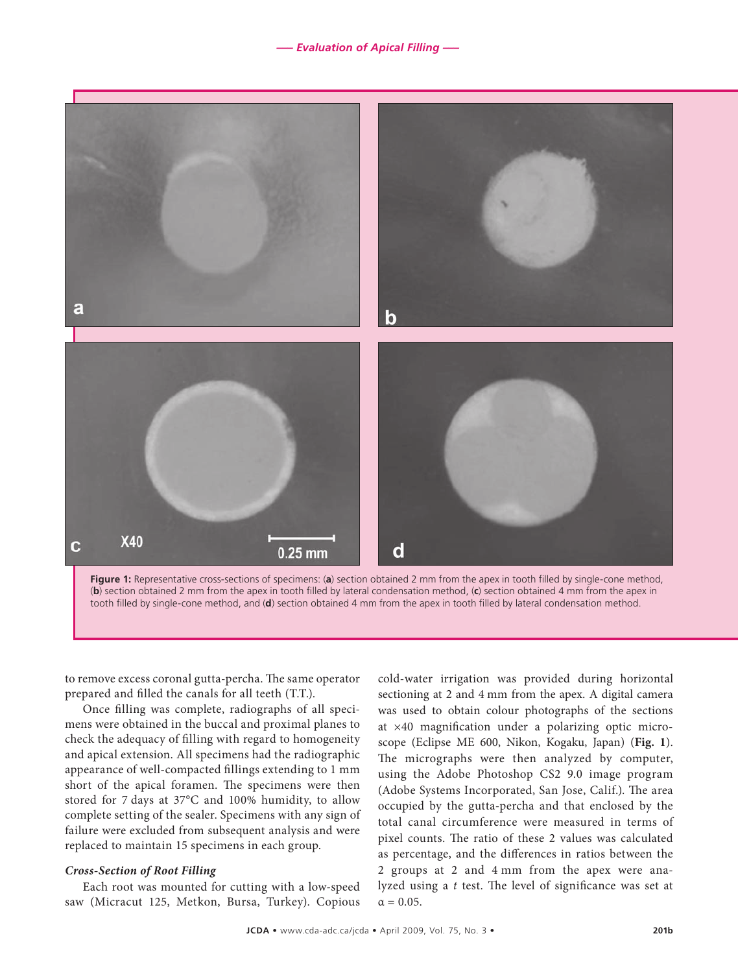*––– Evaluation of Apical Filling –––*



to remove excess coronal gutta-percha. The same operator prepared and filled the canals for all teeth (T.T.).

Once filling was complete, radiographs of all specimens were obtained in the buccal and proximal planes to check the adequacy of filling with regard to homogeneity and apical extension. All specimens had the radiographic appearance of well-compacted fillings extending to 1 mm short of the apical foramen. The specimens were then stored for 7 days at 37°C and 100% humidity, to allow complete setting of the sealer. Specimens with any sign of failure were excluded from subsequent analysis and were replaced to maintain 15 specimens in each group.

#### *Cross-Section of Root Filling*

Each root was mounted for cutting with a low-speed saw (Micracut 125, Metkon, Bursa, Turkey). Copious cold-water irrigation was provided during horizontal sectioning at 2 and 4 mm from the apex. A digital camera was used to obtain colour photographs of the sections at ×40 magnification under a polarizing optic microscope (Eclipse ME 600, Nikon, Kogaku, Japan) (**Fig. 1**). The micrographs were then analyzed by computer, using the Adobe Photoshop CS2 9.0 image program (Adobe Systems Incorporated, San Jose, Calif.). The area occupied by the gutta-percha and that enclosed by the total canal circumference were measured in terms of pixel counts. The ratio of these 2 values was calculated as percentage, and the differences in ratios between the 2 groups at 2 and 4 mm from the apex were analyzed using a *t* test. The level of significance was set at  $\alpha = 0.05$ .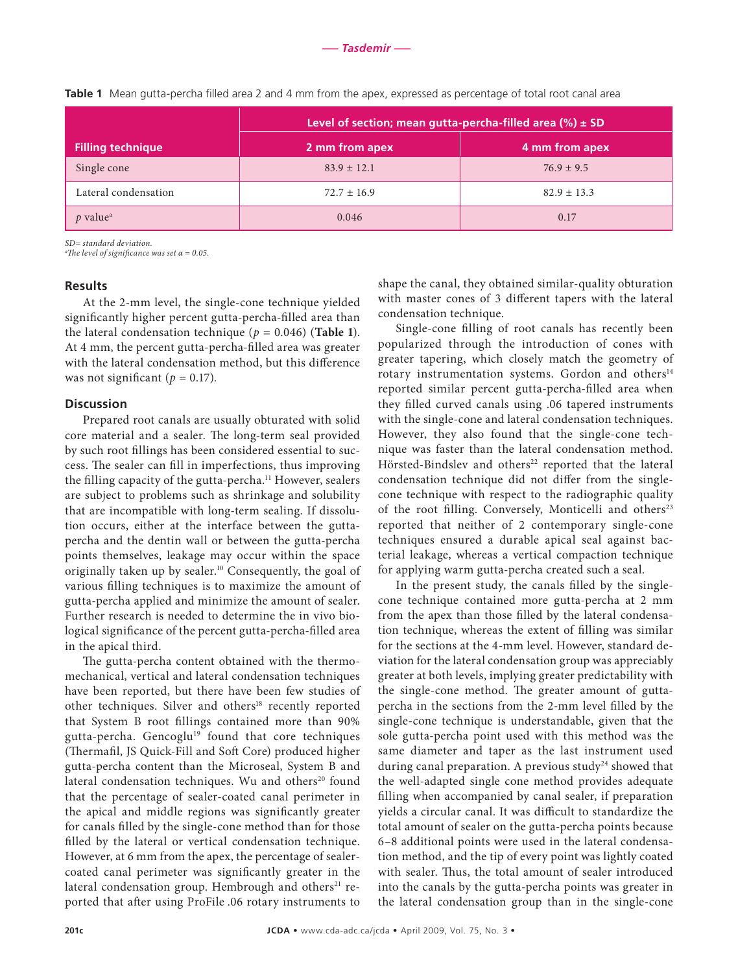|                          | Level of section; mean gutta-percha-filled area $(\%) \pm SD$ |                 |
|--------------------------|---------------------------------------------------------------|-----------------|
| <b>Filling technique</b> | 2 mm from apex                                                | 4 mm from apex  |
| Single cone              | $83.9 \pm 12.1$                                               | $76.9 \pm 9.5$  |
| Lateral condensation     | $72.7 \pm 16.9$                                               | $82.9 \pm 13.3$ |
| $p$ value <sup>a</sup>   | 0.046                                                         | 0.17            |

**Table 1** Mean gutta-percha filled area 2 and 4 mm from the apex, expressed as percentage of total root canal area

*SD= standard deviation.* 

*a The level of significance was set α = 0.05.*

#### **Results**

At the 2-mm level, the single-cone technique yielded significantly higher percent gutta-percha-filled area than the lateral condensation technique ( $p = 0.046$ ) (**Table 1**). At 4 mm, the percent gutta-percha-filled area was greater with the lateral condensation method, but this difference was not significant ( $p = 0.17$ ).

#### **Discussion**

Prepared root canals are usually obturated with solid core material and a sealer. The long-term seal provided by such root fillings has been considered essential to success. The sealer can fill in imperfections, thus improving the filling capacity of the gutta-percha.<sup>11</sup> However, sealers are subject to problems such as shrinkage and solubility that are incompatible with long-term sealing. If dissolution occurs, either at the interface between the guttapercha and the dentin wall or between the gutta-percha points themselves, leakage may occur within the space originally taken up by sealer.10 Consequently, the goal of various filling techniques is to maximize the amount of gutta-percha applied and minimize the amount of sealer. Further research is needed to determine the in vivo biological significance of the percent gutta-percha-filled area in the apical third.

The gutta-percha content obtained with the thermomechanical, vertical and lateral condensation techniques have been reported, but there have been few studies of other techniques. Silver and others<sup>18</sup> recently reported that System B root fillings contained more than 90% gutta-percha. Gencoglu<sup>19</sup> found that core techniques (Thermafil, JS Quick-Fill and Soft Core) produced higher gutta-percha content than the Microseal, System B and lateral condensation techniques. Wu and others<sup>20</sup> found that the percentage of sealer-coated canal perimeter in the apical and middle regions was significantly greater for canals filled by the single-cone method than for those filled by the lateral or vertical condensation technique. However, at 6 mm from the apex, the percentage of sealercoated canal perimeter was significantly greater in the lateral condensation group. Hembrough and others<sup>21</sup> reported that after using ProFile .06 rotary instruments to

shape the canal, they obtained similar-quality obturation with master cones of 3 different tapers with the lateral condensation technique.

Single-cone filling of root canals has recently been popularized through the introduction of cones with greater tapering, which closely match the geometry of rotary instrumentation systems. Gordon and others<sup>14</sup> reported similar percent gutta-percha-filled area when they filled curved canals using .06 tapered instruments with the single-cone and lateral condensation techniques. However, they also found that the single-cone technique was faster than the lateral condensation method. Hörsted-Bindslev and others<sup>22</sup> reported that the lateral condensation technique did not differ from the singlecone technique with respect to the radiographic quality of the root filling. Conversely, Monticelli and others<sup>23</sup> reported that neither of 2 contemporary single-cone techniques ensured a durable apical seal against bacterial leakage, whereas a vertical compaction technique for applying warm gutta-percha created such a seal.

In the present study, the canals filled by the singlecone technique contained more gutta-percha at 2 mm from the apex than those filled by the lateral condensation technique, whereas the extent of filling was similar for the sections at the 4-mm level. However, standard deviation for the lateral condensation group was appreciably greater at both levels, implying greater predictability with the single-cone method. The greater amount of guttapercha in the sections from the 2-mm level filled by the single-cone technique is understandable, given that the sole gutta-percha point used with this method was the same diameter and taper as the last instrument used during canal preparation. A previous study<sup>24</sup> showed that the well-adapted single cone method provides adequate filling when accompanied by canal sealer, if preparation yields a circular canal. It was difficult to standardize the total amount of sealer on the gutta-percha points because 6–8 additional points were used in the lateral condensation method, and the tip of every point was lightly coated with sealer. Thus, the total amount of sealer introduced into the canals by the gutta-percha points was greater in the lateral condensation group than in the single-cone